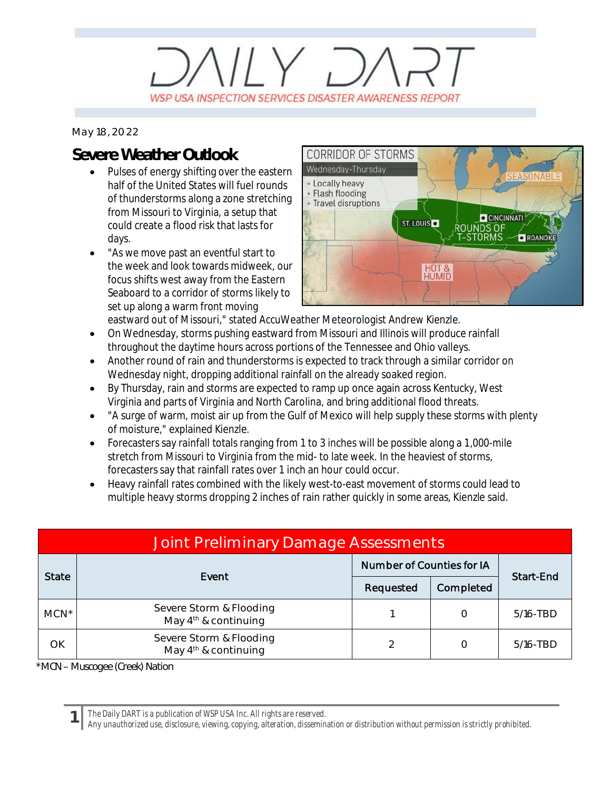## $11 \vee 7$ WSP USA INSPECTION SERVICES DISASTER AWARENESS REPORT

*May 18, 2022*

## **Severe Weather Outlook**

- · Pulses of energy shifting over the eastern half of the United States will fuel rounds of thunderstorms along a zone stretching from Missouri to Virginia, a setup that could create a flood risk that lasts for days.
- · "As we move past an eventful start to the week and look towards midweek, our focus shifts west away from the Eastern Seaboard to a corridor of storms likely to set up along a warm front moving



eastward out of Missouri," stated AccuWeather Meteorologist Andrew Kienzle.

- · On Wednesday, storms pushing eastward from Missouri and Illinois will produce rainfall throughout the daytime hours across portions of the Tennessee and Ohio valleys.
- Another round of rain and thunderstorms is expected to track through a similar corridor on Wednesday night, dropping additional rainfall on the already soaked region.
- · By Thursday, rain and storms are expected to ramp up once again across Kentucky, West Virginia and parts of Virginia and North Carolina, and bring additional flood threats.
- · "A surge of warm, moist air up from the Gulf of Mexico will help supply these storms with plenty of moisture," explained Kienzle.
- · Forecasters say rainfall totals ranging from 1 to 3 inches will be possible along a 1,000-mile stretch from Missouri to Virginia from the mid- to late week. In the heaviest of storms, forecasters say that rainfall rates over 1 inch an hour could occur.
- · Heavy rainfall rates combined with the likely west-to-east movement of storms could lead to multiple heavy storms dropping 2 inches of rain rather quickly in some areas, Kienzle said.

| Joint Preliminary Damage Assessments |                                                             |                           |           |             |  |  |  |
|--------------------------------------|-------------------------------------------------------------|---------------------------|-----------|-------------|--|--|--|
| <b>State</b>                         | Event                                                       | Number of Counties for IA |           | Start-End   |  |  |  |
|                                      |                                                             | Requested                 | Completed |             |  |  |  |
| $MCN^*$                              | Severe Storm & Flooding<br>May 4 <sup>th</sup> & continuing |                           |           | 5/16-TBD    |  |  |  |
| OK                                   | Severe Storm & Flooding<br>May 4 <sup>th</sup> & continuing | ⌒                         |           | $5/16$ -TBD |  |  |  |

*\*MCN – Muscogee (Creek) Nation*

**1**

*The Daily DART is a publication of WSP USA Inc. All rights are reserved.*

*Any unauthorized use, disclosure, viewing, copying, alteration, dissemination or distribution without permission is strictly prohibited.*